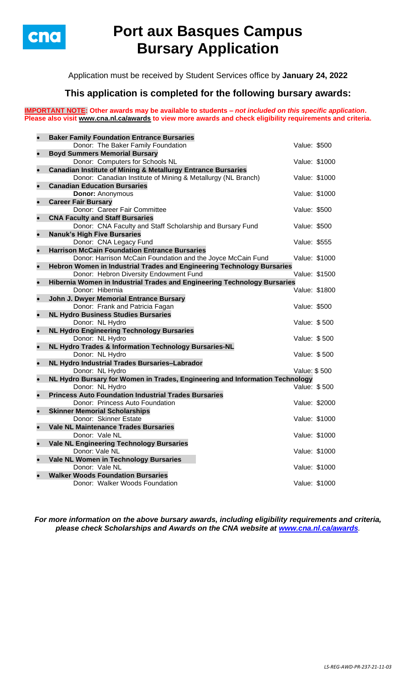

# **Port aux Basques Campus Bursary Application**

Application must be received by Student Services office by **January 24, 2022**

## **This application is completed for the following bursary awards:**

**IMPORTANT NOTE: Other awards may be available to students –** *not included on this specific application***. Please also visit [www.cna.nl.ca/awards](http://www.cna.nl.ca/awards) to view more awards and check eligibility requirements and criteria.**

|           | <b>Baker Family Foundation Entrance Bursaries</b>                            |               |  |
|-----------|------------------------------------------------------------------------------|---------------|--|
|           | Donor: The Baker Family Foundation                                           | Value: \$500  |  |
|           | <b>Boyd Summers Memorial Bursary</b>                                         |               |  |
|           | Donor: Computers for Schools NL                                              | Value: \$1000 |  |
|           | <b>Canadian Institute of Mining &amp; Metallurgy Entrance Bursaries</b>      |               |  |
|           | Donor: Canadian Institute of Mining & Metallurgy (NL Branch)                 | Value: \$1000 |  |
| $\bullet$ | <b>Canadian Education Bursaries</b>                                          |               |  |
|           | <b>Donor: Anonymous</b>                                                      | Value: \$1000 |  |
|           | <b>Career Fair Bursary</b><br>Donor: Career Fair Committee                   | Value: \$500  |  |
| $\bullet$ | <b>CNA Faculty and Staff Bursaries</b>                                       |               |  |
|           | Donor: CNA Faculty and Staff Scholarship and Bursary Fund                    | Value: \$500  |  |
|           | <b>Nanuk's High Five Bursaries</b>                                           |               |  |
|           | Donor: CNA Legacy Fund                                                       | Value: \$555  |  |
| $\bullet$ | <b>Harrison McCain Foundation Entrance Bursaries</b>                         |               |  |
|           | Donor: Harrison McCain Foundation and the Joyce McCain Fund                  | Value: \$1000 |  |
|           | Hebron Women in Industrial Trades and Engineering Technology Bursaries       |               |  |
|           | Donor: Hebron Diversity Endowment Fund                                       | Value: \$1500 |  |
|           | Hibernia Women in Industrial Trades and Engineering Technology Bursaries     |               |  |
|           | Donor: Hibernia                                                              | Value: \$1800 |  |
|           | John J. Dwyer Memorial Entrance Bursary                                      |               |  |
|           | Donor: Frank and Patricia Fagan                                              | Value: \$500  |  |
|           | <b>NL Hydro Business Studies Bursaries</b>                                   |               |  |
|           | Donor: NL Hydro                                                              | Value: \$500  |  |
| $\bullet$ | <b>NL Hydro Engineering Technology Bursaries</b><br>Donor: NL Hydro          | Value: \$500  |  |
| $\bullet$ | NL Hydro Trades & Information Technology Bursaries-NL                        |               |  |
|           | Donor: NL Hydro                                                              | Value: \$500  |  |
|           | NL Hydro Industrial Trades Bursaries-Labrador                                |               |  |
|           | Donor: NL Hydro                                                              | Value: \$500  |  |
|           | NL Hydro Bursary for Women in Trades, Engineering and Information Technology |               |  |
|           | Donor: NL Hydro                                                              | Value: \$500  |  |
| $\bullet$ | <b>Princess Auto Foundation Industrial Trades Bursaries</b>                  |               |  |
|           | Donor: Princess Auto Foundation                                              | Value: \$2000 |  |
|           | <b>Skinner Memorial Scholarships</b>                                         |               |  |
|           | Donor: Skinner Estate                                                        | Value: \$1000 |  |
|           | <b>Vale NL Maintenance Trades Bursaries</b>                                  |               |  |
|           | Donor: Vale NL                                                               | Value: \$1000 |  |
|           | <b>Vale NL Engineering Technology Bursaries</b>                              |               |  |
|           | Donor: Vale NL                                                               | Value: \$1000 |  |
|           | Vale NL Women in Technology Bursaries<br>Donor: Vale NL                      | Value: \$1000 |  |
|           | <b>Walker Woods Foundation Bursaries</b>                                     |               |  |
|           | Donor: Walker Woods Foundation                                               | Value: \$1000 |  |
|           |                                                                              |               |  |

*For more information on the above bursary awards, including eligibility requirements and criteria, please check Scholarships and Awards on the CNA website at [www.cna.nl.ca/awards](http://www.cna.nl.ca/awards).*